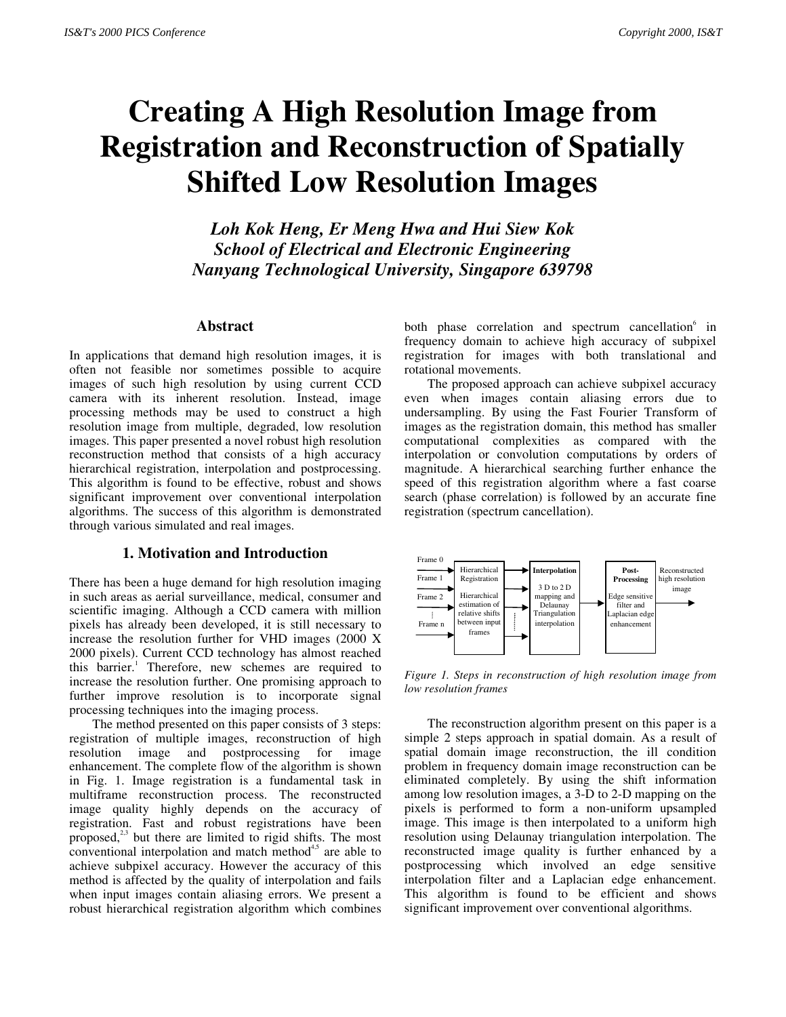# **Creating A High Resolution Image from Registration and Reconstruction of Spatially Shifted Low Resolution Images**

*Loh Kok Heng, Er Meng Hwa and Hui Siew Kok School of Electrical and Electronic Engineering Nanyang Technological University, Singapore 639798*

#### **Abstract**

In applications that demand high resolution images, it is often not feasible nor sometimes possible to acquire images of such high resolution by using current CCD camera with its inherent resolution. Instead, image processing methods may be used to construct a high resolution image from multiple, degraded, low resolution images. This paper presented a novel robust high resolution reconstruction method that consists of a high accuracy hierarchical registration, interpolation and postprocessing. This algorithm is found to be effective, robust and shows significant improvement over conventional interpolation algorithms. The success of this algorithm is demonstrated through various simulated and real images.

## **1. Motivation and Introduction**

There has been a huge demand for high resolution imaging in such areas as aerial surveillance, medical, consumer and scientific imaging. Although a CCD camera with million pixels has already been developed, it is still necessary to increase the resolution further for VHD images (2000 X 2000 pixels). Current CCD technology has almost reached this barrier.<sup>1</sup> Therefore, new schemes are required to increase the resolution further. One promising approach to further improve resolution is to incorporate signal processing techniques into the imaging process.

The method presented on this paper consists of 3 steps: registration of multiple images, reconstruction of high resolution image and postprocessing for image enhancement. The complete flow of the algorithm is shown in Fig. 1. Image registration is a fundamental task in multiframe reconstruction process. The reconstructed image quality highly depends on the accuracy of registration. Fast and robust registrations have been proposed, $2<sup>3</sup>$  but there are limited to rigid shifts. The most conventional interpolation and match method $4.5$  are able to achieve subpixel accuracy. However the accuracy of this method is affected by the quality of interpolation and fails when input images contain aliasing errors. We present a robust hierarchical registration algorithm which combines

both phase correlation and spectrum cancellation<sup>6</sup> in frequency domain to achieve high accuracy of subpixel registration for images with both translational and rotational movements.

The proposed approach can achieve subpixel accuracy even when images contain aliasing errors due to undersampling. By using the Fast Fourier Transform of images as the registration domain, this method has smaller computational complexities as compared with the interpolation or convolution computations by orders of magnitude. A hierarchical searching further enhance the speed of this registration algorithm where a fast coarse search (phase correlation) is followed by an accurate fine registration (spectrum cancellation).



*Figure 1. Steps in reconstruction of high resolution image from low resolution frames*

The reconstruction algorithm present on this paper is a simple 2 steps approach in spatial domain. As a result of spatial domain image reconstruction, the ill condition problem in frequency domain image reconstruction can be eliminated completely. By using the shift information among low resolution images, a 3-D to 2-D mapping on the pixels is performed to form a non-uniform upsampled image. This image is then interpolated to a uniform high resolution using Delaunay triangulation interpolation. The reconstructed image quality is further enhanced by a postprocessing which involved an edge sensitive interpolation filter and a Laplacian edge enhancement. This algorithm is found to be efficient and shows significant improvement over conventional algorithms.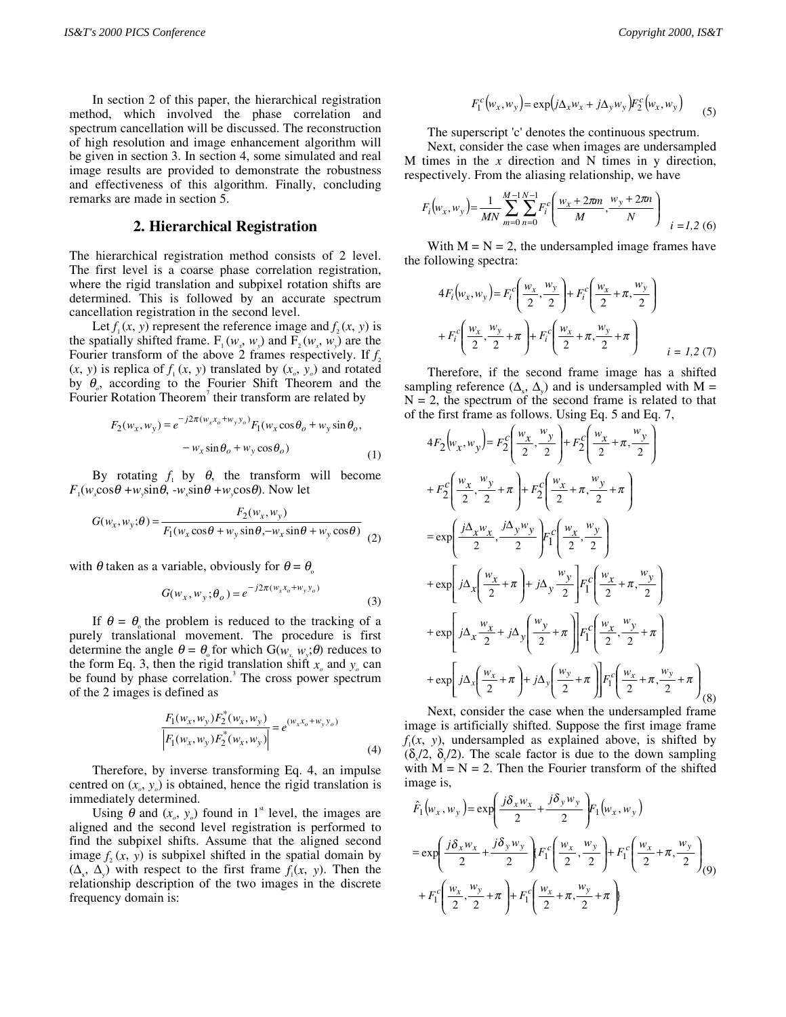In section 2 of this paper, the hierarchical registration method, which involved the phase correlation and spectrum cancellation will be discussed. The reconstruction of high resolution and image enhancement algorithm will be given in section 3. In section 4, some simulated and real image results are provided to demonstrate the robustness and effectiveness of this algorithm. Finally, concluding remarks are made in section 5.

### **2. Hierarchical Registration**

The hierarchical registration method consists of 2 level. The first level is a coarse phase correlation registration, where the rigid translation and subpixel rotation shifts are determined. This is followed by an accurate spectrum cancellation registration in the second level.

Let  $f_1(x, y)$  represent the reference image and  $f_2(x, y)$  is the spatially shifted frame.  $F_1(w_x, w_y)$  and  $F_2(w_x, w_y)$  are the Fourier transform of the above 2 frames respectively. If *f*<sub>2</sub>  $(x, y)$  is replica of  $f_1(x, y)$  translated by  $(x_0, y_0)$  and rotated by θ*o*, according to the Fourier Shift Theorem and the Fourier Rotation Theorem<sup>7</sup> their transform are related by

$$
F_2(w_x, w_y) = e^{-j2\pi(w_x x_o + w_y y_o)} F_1(w_x \cos \theta_o + w_y \sin \theta_o, - w_x \sin \theta_o + w_y \cos \theta_o)
$$
 (1)

By rotating  $f_1$  by  $θ$ , the transform will become  $F_1(w_x \cos\theta + w_y \sin\theta, -w_x \sin\theta + w_y \cos\theta)$ . Now let

$$
G(w_x, w_y; \theta) = \frac{F_2(w_x, w_y)}{F_1(w_x \cos \theta + w_y \sin \theta, -w_x \sin \theta + w_y \cos \theta)}
$$
(2)

with  $\theta$  taken as a variable, obviously for  $\theta = \theta_0$ 

$$
G(w_x, w_y; \theta_o) = e^{-j2\pi(w_x x_o + w_y y_o)}
$$
\n(3)

If  $\theta = \theta$  the problem is reduced to the tracking of a purely translational movement. The procedure is first determine the angle  $\theta = \theta_{\text{o}}$  for which  $G(w_{x}, w_{y}; \theta)$  reduces to the form Eq. 3, then the rigid translation shift  $x_0$  and  $y_0$  can be found by phase correlation.<sup>3</sup> The cross power spectrum of the 2 images is defined as

$$
\frac{F_1(w_x, w_y) F_2^*(w_x, w_y)}{\left| F_1(w_x, w_y) F_2^*(w_x, w_y) \right|} = e^{(w_x x_o + w_y y_o)}
$$
\n(4)

Therefore, by inverse transforming Eq. 4, an impulse centred on  $(x_0, y_0)$  is obtained, hence the rigid translation is immediately determined.

Using  $\theta$  and  $(x_o, y_o)$  found in 1<sup>st</sup> level, the images are aligned and the second level registration is performed to find the subpixel shifts. Assume that the aligned second image  $f_2(x, y)$  is subpixel shifted in the spatial domain by  $(\Delta, \Delta)$  with respect to the first frame  $f_1(x, y)$ . Then the relationship description of the two images in the discrete frequency domain is:

$$
F_1^c(w_x, w_y) = \exp(j\Delta_x w_x + j\Delta_y w_y) F_2^c(w_x, w_y)
$$
 (5)

The superscript 'c' denotes the continuous spectrum.

Next, consider the case when images are undersampled M times in the *x* direction and N times in y direction, respectively. From the aliasing relationship, we have

$$
F_i(w_x, w_y) = \frac{1}{MN} \sum_{m=0}^{M-1} \sum_{n=0}^{N-1} F_i^c\left(\frac{w_x + 2\pi m}{M}, \frac{w_y + 2\pi n}{N}\right)_{i=1,2\ (6)}
$$

With  $M = N = 2$ , the undersampled image frames have the following spectra:

$$
4F_i(w_x, w_y) = F_i^c\left(\frac{w_x}{2}, \frac{w_y}{2}\right) + F_i^c\left(\frac{w_x}{2} + \pi, \frac{w_y}{2}\right)
$$

$$
+ F_i^c\left(\frac{w_x}{2}, \frac{w_y}{2} + \pi\right) + F_i^c\left(\frac{w_x}{2} + \pi, \frac{w_y}{2} + \pi\right)
$$
 $i = 1, 2$ (7)

Therefore, if the second frame image has a shifted sampling reference  $(\Delta_{x}, \Delta_{y})$  and is undersampled with M =  $N = 2$ , the spectrum of the second frame is related to that of the first frame as follows. Using Eq. 5 and Eq. 7,

$$
4F_2\left(w_x, w_y\right) = F_2^c\left(\frac{w_x}{2}, \frac{w_y}{2}\right) + F_2^c\left(\frac{w_x}{2} + \pi, \frac{w_y}{2}\right)
$$
  
+  $F_2^c\left(\frac{w_x}{2}, \frac{w_y}{2} + \pi\right) + F_2^c\left(\frac{w_x}{2} + \pi, \frac{w_y}{2} + \pi\right)$   
=  $\exp\left(\frac{j\Delta_x w_x}{2}, \frac{j\Delta_y w_y}{2}\right) F_1^c\left(\frac{w_x}{2}, \frac{w_y}{2}\right)$   
+  $\exp\left(j\Delta_x\left(\frac{w_x}{2} + \pi\right) + j\Delta_y\frac{w_y}{2}\right) F_1^c\left(\frac{w_x}{2} + \pi, \frac{w_y}{2}\right)$   
+  $\exp\left(j\Delta_x\frac{w_x}{2} + j\Delta_y\left(\frac{w_y}{2} + \pi\right)\right) F_1^c\left(\frac{w_x}{2}, \frac{w_y}{2} + \pi\right)$   
+  $\exp\left(j\Delta_x\left(\frac{w_x}{2} + \pi\right) + j\Delta_y\left(\frac{w_y}{2} + \pi\right)\right) F_1^c\left(\frac{w_x}{2} + \pi, \frac{w_y}{2} + \pi\right)$   
=  $\frac{1}{2}F_2^c\left(\frac{w_x}{2} + \pi, \frac{w_y}{2} + \pi\right)$ 

Next, consider the case when the undersampled frame image is artificially shifted. Suppose the first image frame  $f(x, y)$ , undersampled as explained above, is shifted by ( $\delta$ ,/2,  $\delta$ ,/2). The scale factor is due to the down sampling with  $M = N = 2$ . Then the Fourier transform of the shifted image is,

$$
\hat{F}_1(w_x, w_y) = \exp\left(\frac{j\delta_x w_x}{2} + \frac{j\delta_y w_y}{2}\right) F_1(w_x, w_y)
$$
\n
$$
= \exp\left(\frac{j\delta_x w_x}{2} + \frac{j\delta_y w_y}{2}\right) \left(F_1^c \left(\frac{w_x}{2}, \frac{w_y}{2}\right) + F_1^c \left(\frac{w_x}{2} + \pi, \frac{w_y}{2}\right)_{(9)}
$$
\n
$$
+ F_1^c \left(\frac{w_x}{2}, \frac{w_y}{2} + \pi\right) + F_1^c \left(\frac{w_x}{2} + \pi, \frac{w_y}{2} + \pi\right)
$$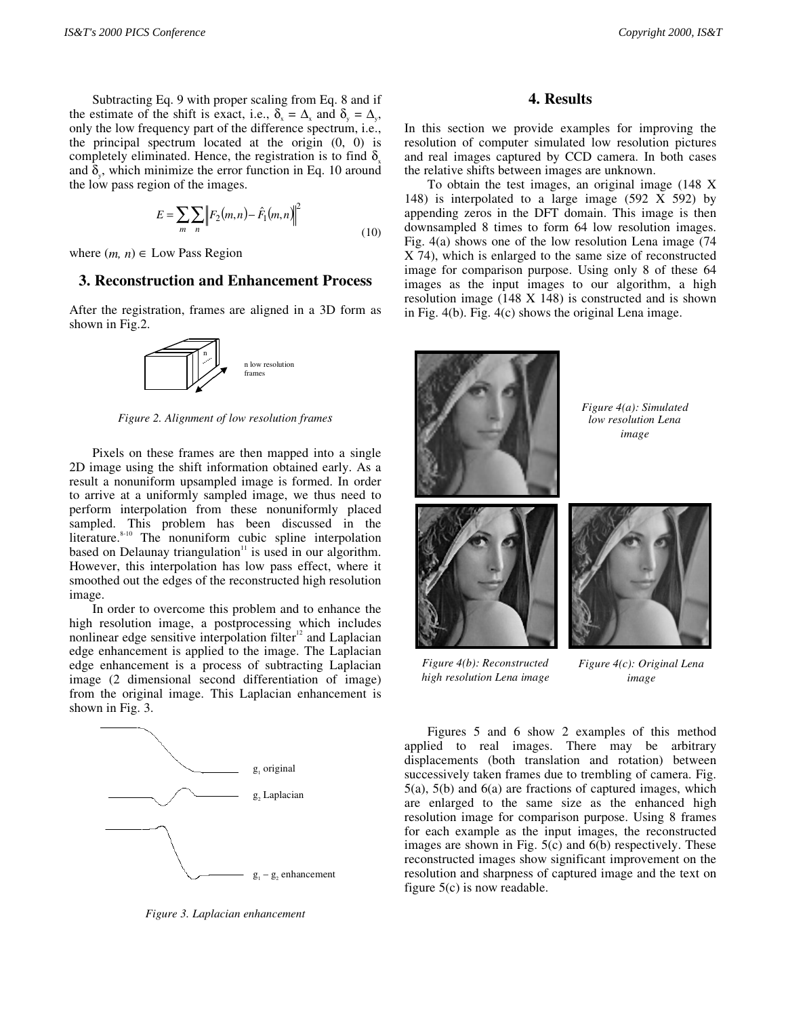Subtracting Eq. 9 with proper scaling from Eq. 8 and if the estimate of the shift is exact, i.e.,  $\delta_z = \Delta_x$  and  $\delta_y = \Delta_y$ , only the low frequency part of the difference spectrum, i.e., the principal spectrum located at the origin (0, 0) is completely eliminated. Hence, the registration is to find  $\delta$ . and  $\delta_{\gamma}$ , which minimize the error function in Eq. 10 around the low pass region of the images.

$$
E = \sum_{m} \sum_{n} \left\| F_2(m, n) - \hat{F}_1(m, n) \right\|^2
$$
\n(10)

where  $(m, n) \in$  Low Pass Region

#### **3. Reconstruction and Enhancement Process**

After the registration, frames are aligned in a 3D form as shown in Fig.2.



*Figure 2. Alignment of low resolution frames*

Pixels on these frames are then mapped into a single 2D image using the shift information obtained early. As a result a nonuniform upsampled image is formed. In order to arrive at a uniformly sampled image, we thus need to perform interpolation from these nonuniformly placed sampled. This problem has been discussed in the literature.<sup>8-10</sup> The nonuniform cubic spline interpolation based on Delaunay triangulation<sup>11</sup> is used in our algorithm. However, this interpolation has low pass effect, where it smoothed out the edges of the reconstructed high resolution image.

In order to overcome this problem and to enhance the high resolution image, a postprocessing which includes nonlinear edge sensitive interpolation filter<sup>12</sup> and Laplacian edge enhancement is applied to the image. The Laplacian edge enhancement is a process of subtracting Laplacian image (2 dimensional second differentiation of image) from the original image. This Laplacian enhancement is shown in Fig. 3.



*Figure 3. Laplacian enhancement*

## **4. Results**

In this section we provide examples for improving the resolution of computer simulated low resolution pictures and real images captured by CCD camera. In both cases the relative shifts between images are unknown.

To obtain the test images, an original image (148 X 148) is interpolated to a large image (592 X 592) by appending zeros in the DFT domain. This image is then downsampled 8 times to form 64 low resolution images. Fig. 4(a) shows one of the low resolution Lena image (74 X 74), which is enlarged to the same size of reconstructed image for comparison purpose. Using only 8 of these 64 images as the input images to our algorithm, a high resolution image (148 X 148) is constructed and is shown in Fig. 4(b). Fig. 4(c) shows the original Lena image.





*Figure 4(a): Simulated low resolution Lena image*

*Figure 4(b): Reconstructed high resolution Lena image*

*Figure 4(c): Original Lena image*

Figures 5 and 6 show 2 examples of this method applied to real images. There may be arbitrary displacements (both translation and rotation) between successively taken frames due to trembling of camera. Fig. 5(a), 5(b) and 6(a) are fractions of captured images, which are enlarged to the same size as the enhanced high resolution image for comparison purpose. Using 8 frames for each example as the input images, the reconstructed images are shown in Fig. 5(c) and 6(b) respectively. These reconstructed images show significant improvement on the resolution and sharpness of captured image and the text on figure 5(c) is now readable.